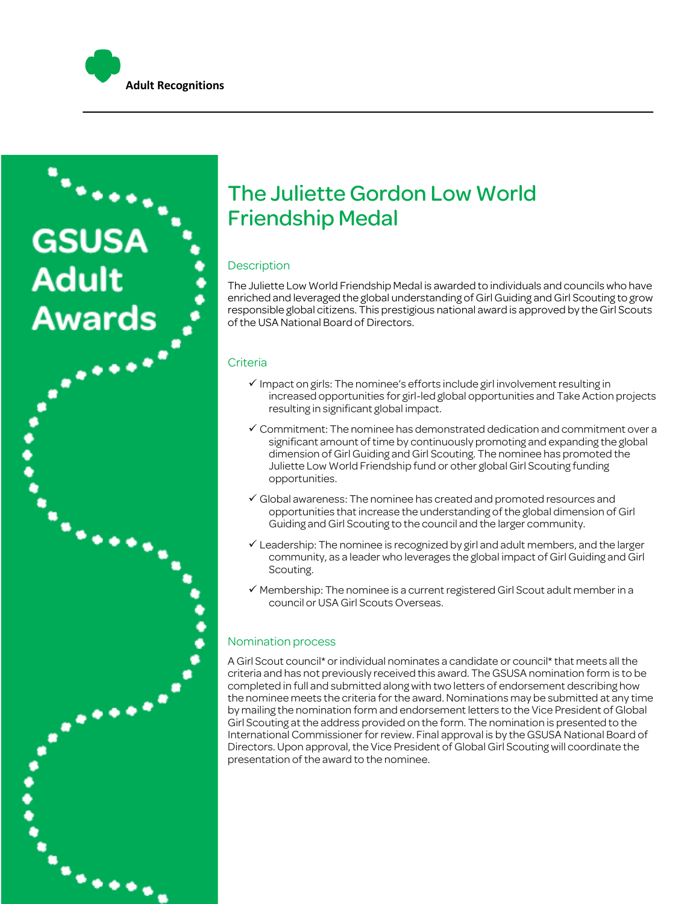



## The Juliette Gordon Low World Friendship Medal

#### **Description**

The Juliette Low World Friendship Medal is awarded to individuals and councils who have enriched and leveraged the global understanding of Girl Guiding and Girl Scouting to grow responsible global citizens. This prestigious national award is approved by the Girl Scouts of the USA National Board of Directors.

#### Criteria

- $\checkmark$  Impact on girls: The nominee's efforts include girl involvement resulting in increased opportunities for girl-led global opportunities and Take Action projects resulting in significant global impact.
- $\checkmark$  Commitment: The nominee has demonstrated dedication and commitment over a significant amount of time by continuously promoting and expanding the global dimension of Girl Guiding and Girl Scouting. The nominee has promoted the Juliette Low World Friendship fund or other global Girl Scouting funding opportunities.
- $\checkmark$  Global awareness: The nominee has created and promoted resources and opportunities that increase the understanding of the global dimension of Girl Guiding and Girl Scouting to the council and the larger community.
- $\checkmark$  Leadership: The nominee is recognized by girl and adult members, and the larger community, as a leader who leverages the global impact of Girl Guiding and Girl Scouting.
- $\checkmark$  Membership: The nominee is a current registered Girl Scout adult member in a council or USA Girl Scouts Overseas.

#### Nomination process

A Girl Scout council\* or individual nominates a candidate or council\* that meets all the criteria and has not previously received this award. The GSUSA nomination form is to be completed in full and submitted along with two letters of endorsement describing how the nominee meets the criteria for the award. Nominations may be submitted at any time by mailing the nomination form and endorsement letters to the Vice President of Global Girl Scouting at the address provided on the form. The nomination is presented to the International Commissioner for review. Final approval is by the GSUSA National Board of Directors. Upon approval, the Vice President of Global Girl Scouting will coordinate the presentation of the award to the nominee.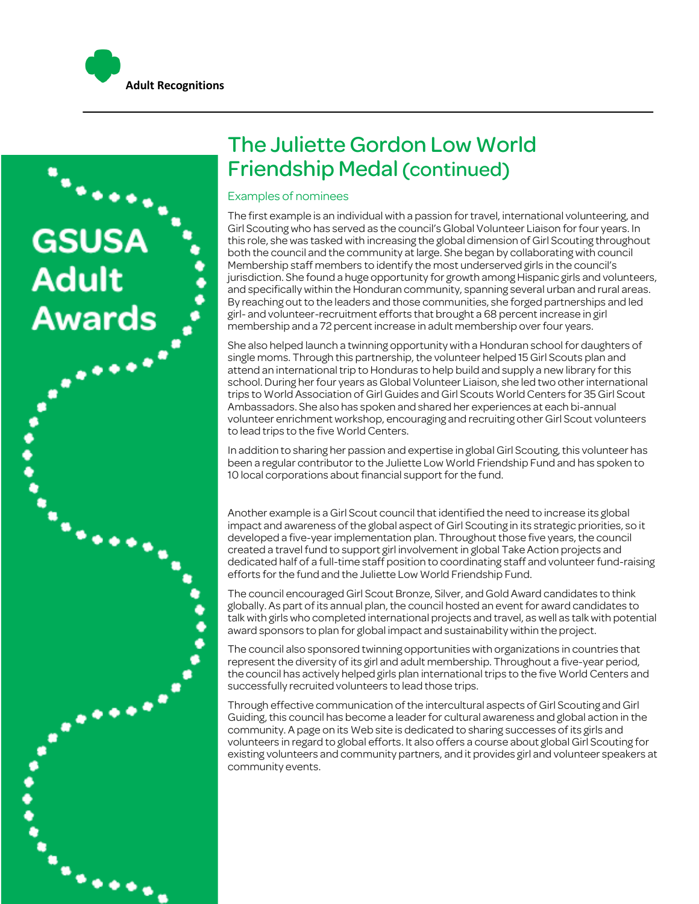

# The Juliette Gordon Low World Friendship Medal (continued)

#### Examples of nominees

The first example is an individual with a passion for travel, international volunteering, and Girl Scouting who has served as the council's Global Volunteer Liaison for four years. In this role, she was tasked with increasing the global dimension of Girl Scouting throughout both the council and the community at large. She began by collaborating with council Membership staff members to identify the most underserved girls in the council's jurisdiction. She found a huge opportunity for growth among Hispanic girls and volunteers, and specifically within the Honduran community, spanning several urban and rural areas. By reaching out to the leaders and those communities, she forged partnerships and led girl- and volunteer-recruitment efforts that brought a 68 percent increase in girl membership and a 72 percent increase in adult membership over four years.

She also helped launch a twinning opportunity with a Honduran school for daughters of single moms. Through this partnership, the volunteer helped 15 Girl Scouts plan and attend an international trip to Honduras to help build and supply a new library for this school. During her four years as Global Volunteer Liaison, she led two other international trips to World Association of Girl Guides and Girl Scouts World Centers for 35 Girl Scout Ambassadors. She also has spoken and shared her experiences at each bi-annual volunteer enrichment workshop, encouraging and recruiting other Girl Scout volunteers to lead trips to the five World Centers.

In addition to sharing her passion and expertise in global Girl Scouting, this volunteer has been a regular contributor to the Juliette Low World Friendship Fund and has spoken to 10 local corporations about financial support for the fund.

Another example is a Girl Scout council that identified the need to increase its global impact and awareness of the global aspect of Girl Scouting in its strategic priorities, so it developed a five-year implementation plan. Throughout those five years, the council created a travel fund to support girl involvement in global Take Action projects and dedicated half of a full-time staff position to coordinating staff and volunteer fund-raising efforts for the fund and the Juliette Low World Friendship Fund.

The council encouraged Girl Scout Bronze, Silver, and Gold Award candidates to think globally. As part of its annual plan, the council hosted an event for award candidates to talk with girls who completed international projects and travel, as well as talk with potential award sponsors to plan for global impact and sustainability within the project.

The council also sponsored twinning opportunities with organizations in countries that represent the diversity of its girl and adult membership. Throughout a five-year period, the council has actively helped girls plan international trips to the five World Centers and successfully recruited volunteers to lead those trips.

Through effective communication of the intercultural aspects of Girl Scouting and Girl Guiding, this council has become a leader for cultural awareness and global action in the community. A page on its Web site is dedicated to sharing successes of its girls and volunteers in regard to global efforts. It also offers a course about global Girl Scouting for existing volunteers and community partners, and it provides girl and volunteer speakers at community events.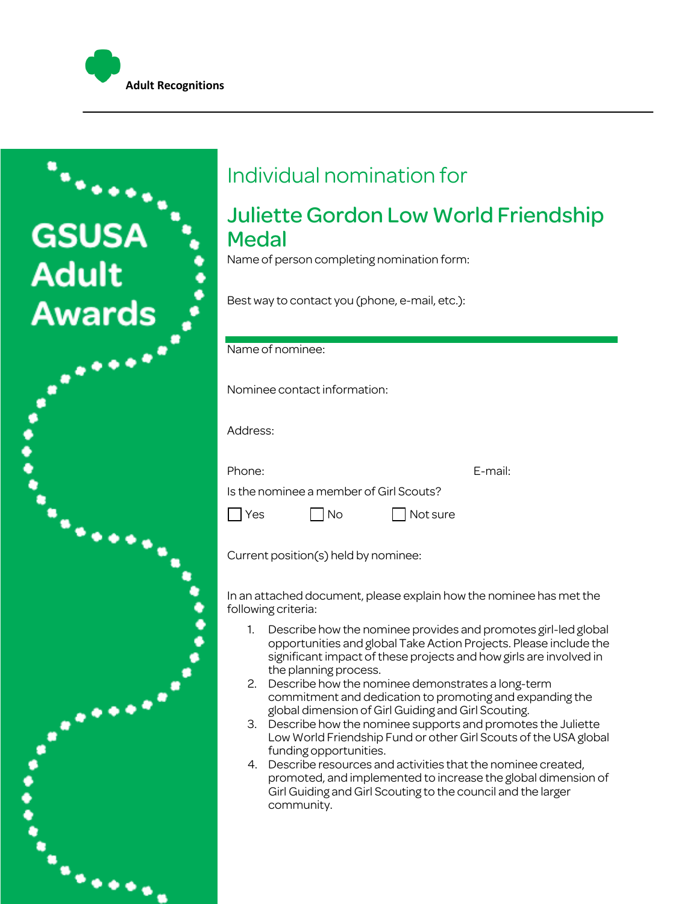



# Individual nomination for

## Juliette Gordon Low World Friendship **Medal**

Name of person completing nomination form:

Best way to contact you (phone, e-mail, etc.):

### Name of nominee:

Nominee contact information:

Address:

Phone: E-mail:

Is the nominee a member of Girl Scouts?

 $\Box$  Yes  $\Box$  No  $\Box$  Not sure

Current position(s) held by nominee:

In an attached document, please explain how the nominee has met the following criteria:

- 1. Describe how the nominee provides and promotes girl-led global opportunities and global Take Action Projects. Please include the significant impact of these projects and how girls are involved in the planning process.
- 2. Describe how the nominee demonstrates a long-term commitment and dedication to promoting and expanding the global dimension of Girl Guiding and Girl Scouting.
- 3. Describe how the nominee supports and promotes the Juliette Low World Friendship Fund or other Girl Scouts of the USA global funding opportunities.
- 4. Describe resources and activities that the nominee created, promoted, and implemented to increase the global dimension of Girl Guiding and Girl Scouting to the council and the larger community.